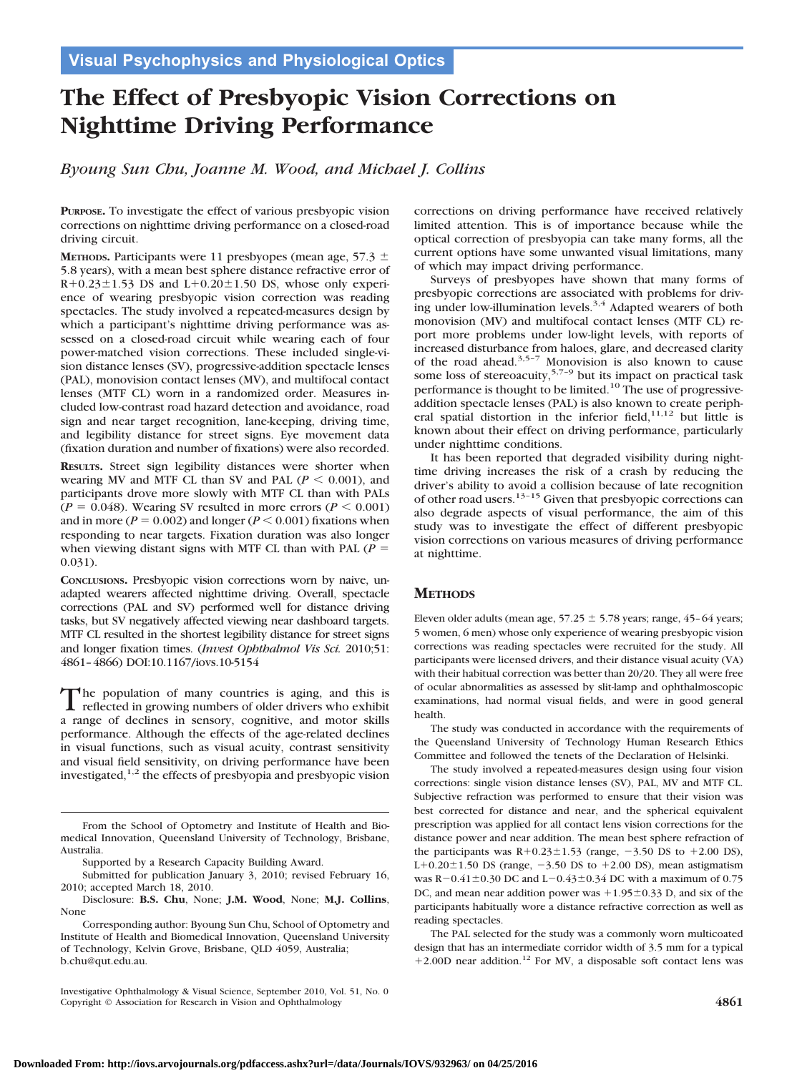# **The Effect of Presbyopic Vision Corrections on Nighttime Driving Performance**

*Byoung Sun Chu, Joanne M. Wood, and Michael J. Collins*

**PURPOSE.** To investigate the effect of various presbyopic vision corrections on nighttime driving performance on a closed-road driving circuit.

**METHODS.** Participants were 11 presbyopes (mean age,  $57.3 \pm$ 5.8 years), with a mean best sphere distance refractive error of  $R+0.23\pm1.53$  DS and  $L+0.20\pm1.50$  DS, whose only experience of wearing presbyopic vision correction was reading spectacles. The study involved a repeated-measures design by which a participant's nighttime driving performance was assessed on a closed-road circuit while wearing each of four power-matched vision corrections. These included single-vision distance lenses (SV), progressive-addition spectacle lenses (PAL), monovision contact lenses (MV), and multifocal contact lenses (MTF CL) worn in a randomized order. Measures included low-contrast road hazard detection and avoidance, road sign and near target recognition, lane-keeping, driving time, and legibility distance for street signs. Eye movement data (fixation duration and number of fixations) were also recorded.

**RESULTS.** Street sign legibility distances were shorter when wearing MV and MTF CL than SV and PAL  $(P \le 0.001)$ , and participants drove more slowly with MTF CL than with PALs  $(P = 0.048)$ . Wearing SV resulted in more errors  $(P \le 0.001)$ and in more ( $P = 0.002$ ) and longer ( $P \le 0.001$ ) fixations when responding to near targets. Fixation duration was also longer when viewing distant signs with MTF CL than with PAL ( $P =$ 0.031).

**CONCLUSIONS.** Presbyopic vision corrections worn by naive, unadapted wearers affected nighttime driving. Overall, spectacle corrections (PAL and SV) performed well for distance driving tasks, but SV negatively affected viewing near dashboard targets. MTF CL resulted in the shortest legibility distance for street signs and longer fixation times. (*Invest Ophthalmol Vis Sci.* 2010;51: 4861–4866) DOI:10.1167/iovs.10-5154

The population of many countries is aging, and this is<br>reflected in growing numbers of older drivers who exhibit a range of declines in sensory, cognitive, and motor skills performance. Although the effects of the age-related declines in visual functions, such as visual acuity, contrast sensitivity and visual field sensitivity, on driving performance have been investigated,1,2 the effects of presbyopia and presbyopic vision corrections on driving performance have received relatively limited attention. This is of importance because while the optical correction of presbyopia can take many forms, all the current options have some unwanted visual limitations, many of which may impact driving performance.

Surveys of presbyopes have shown that many forms of presbyopic corrections are associated with problems for driving under low-illumination levels.<sup>3,4</sup> Adapted wearers of both monovision (MV) and multifocal contact lenses (MTF CL) report more problems under low-light levels, with reports of increased disturbance from haloes, glare, and decreased clarity of the road ahead. $3,5-7$  Monovision is also known to cause some loss of stereoacuity,<sup>5,7-9</sup> but its impact on practical task performance is thought to be limited.10 The use of progressiveaddition spectacle lenses (PAL) is also known to create peripheral spatial distortion in the inferior field, $11,12$  but little is known about their effect on driving performance, particularly under nighttime conditions.

It has been reported that degraded visibility during nighttime driving increases the risk of a crash by reducing the driver's ability to avoid a collision because of late recognition of other road users.13–15 Given that presbyopic corrections can also degrade aspects of visual performance, the aim of this study was to investigate the effect of different presbyopic vision corrections on various measures of driving performance at nighttime.

## **METHODS**

Eleven older adults (mean age,  $57.25 \pm 5.78$  years; range, 45-64 years; 5 women, 6 men) whose only experience of wearing presbyopic vision corrections was reading spectacles were recruited for the study. All participants were licensed drivers, and their distance visual acuity (VA) with their habitual correction was better than 20/20. They all were free of ocular abnormalities as assessed by slit-lamp and ophthalmoscopic examinations, had normal visual fields, and were in good general health.

The study was conducted in accordance with the requirements of the Queensland University of Technology Human Research Ethics Committee and followed the tenets of the Declaration of Helsinki.

The study involved a repeated-measures design using four vision corrections: single vision distance lenses (SV), PAL, MV and MTF CL. Subjective refraction was performed to ensure that their vision was best corrected for distance and near, and the spherical equivalent prescription was applied for all contact lens vision corrections for the distance power and near addition. The mean best sphere refraction of the participants was  $R+0.23\pm1.53$  (range,  $-3.50$  DS to  $+2.00$  DS), L+0.20 $\pm$ 1.50 DS (range, -3.50 DS to +2.00 DS), mean astigmatism was R-0.41 $\pm$ 0.30 DC and L-0.43 $\pm$ 0.34 DC with a maximum of 0.75 DC, and mean near addition power was  $+1.95\pm0.33$  D, and six of the participants habitually wore a distance refractive correction as well as reading spectacles.

The PAL selected for the study was a commonly worn multicoated design that has an intermediate corridor width of 3.5 mm for a typical +2.00D near addition.<sup>12</sup> For MV, a disposable soft contact lens was

From the School of Optometry and Institute of Health and Biomedical Innovation, Queensland University of Technology, Brisbane, Australia.

Supported by a Research Capacity Building Award.

Submitted for publication January 3, 2010; revised February 16, 2010; accepted March 18, 2010.

Disclosure: **B.S. Chu**, None; **J.M. Wood**, None; **M.J. Collins**, None

Corresponding author: Byoung Sun Chu, School of Optometry and Institute of Health and Biomedical Innovation, Queensland University of Technology, Kelvin Grove, Brisbane, QLD 4059, Australia; b.chu@qut.edu.au.

Investigative Ophthalmology & Visual Science, September 2010, Vol. 51, No. 0 Copyright © Association for Research in Vision and Ophthalmology **4861**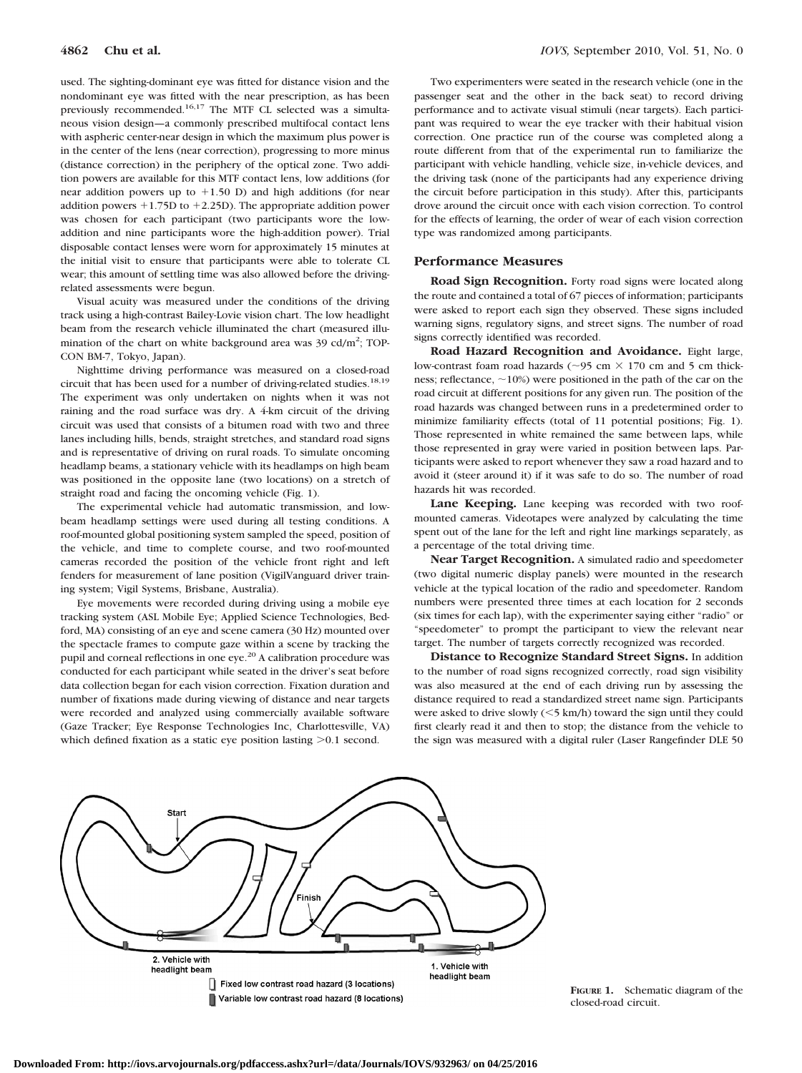used. The sighting-dominant eye was fitted for distance vision and the nondominant eye was fitted with the near prescription, as has been previously recommended.16,17 The MTF CL selected was a simultaneous vision design—a commonly prescribed multifocal contact lens with aspheric center-near design in which the maximum plus power is in the center of the lens (near correction), progressing to more minus (distance correction) in the periphery of the optical zone. Two addition powers are available for this MTF contact lens, low additions (for near addition powers up to  $+1.50$  D) and high additions (for near addition powers  $+1.75D$  to  $+2.25D$ ). The appropriate addition power was chosen for each participant (two participants wore the lowaddition and nine participants wore the high-addition power). Trial disposable contact lenses were worn for approximately 15 minutes at the initial visit to ensure that participants were able to tolerate CL wear; this amount of settling time was also allowed before the drivingrelated assessments were begun.

Visual acuity was measured under the conditions of the driving track using a high-contrast Bailey-Lovie vision chart. The low headlight beam from the research vehicle illuminated the chart (measured illumination of the chart on white background area was  $39 \text{ cd/m}^2$ ; TOP-CON BM-7, Tokyo, Japan).

Nighttime driving performance was measured on a closed-road circuit that has been used for a number of driving-related studies.<sup>18,19</sup> The experiment was only undertaken on nights when it was not raining and the road surface was dry. A 4-km circuit of the driving circuit was used that consists of a bitumen road with two and three lanes including hills, bends, straight stretches, and standard road signs and is representative of driving on rural roads. To simulate oncoming headlamp beams, a stationary vehicle with its headlamps on high beam was positioned in the opposite lane (two locations) on a stretch of straight road and facing the oncoming vehicle (Fig. 1).

The experimental vehicle had automatic transmission, and lowbeam headlamp settings were used during all testing conditions. A roof-mounted global positioning system sampled the speed, position of the vehicle, and time to complete course, and two roof-mounted cameras recorded the position of the vehicle front right and left fenders for measurement of lane position (VigilVanguard driver training system; Vigil Systems, Brisbane, Australia).

Eye movements were recorded during driving using a mobile eye tracking system (ASL Mobile Eye; Applied Science Technologies, Bedford, MA) consisting of an eye and scene camera (30 Hz) mounted over the spectacle frames to compute gaze within a scene by tracking the pupil and corneal reflections in one eye.<sup>20</sup> A calibration procedure was conducted for each participant while seated in the driver's seat before data collection began for each vision correction. Fixation duration and number of fixations made during viewing of distance and near targets were recorded and analyzed using commercially available software (Gaze Tracker; Eye Response Technologies Inc, Charlottesville, VA) which defined fixation as a static eye position lasting  $>0.1$  second.

Two experimenters were seated in the research vehicle (one in the passenger seat and the other in the back seat) to record driving performance and to activate visual stimuli (near targets). Each participant was required to wear the eye tracker with their habitual vision correction. One practice run of the course was completed along a route different from that of the experimental run to familiarize the participant with vehicle handling, vehicle size, in-vehicle devices, and the driving task (none of the participants had any experience driving the circuit before participation in this study). After this, participants drove around the circuit once with each vision correction. To control for the effects of learning, the order of wear of each vision correction type was randomized among participants.

#### **Performance Measures**

**Road Sign Recognition.** Forty road signs were located along the route and contained a total of 67 pieces of information; participants were asked to report each sign they observed. These signs included warning signs, regulatory signs, and street signs. The number of road signs correctly identified was recorded.

**Road Hazard Recognition and Avoidance.** Eight large, low-contrast foam road hazards ( $\sim$ 95 cm  $\times$  170 cm and 5 cm thickness; reflectance,  $\sim$ 10%) were positioned in the path of the car on the road circuit at different positions for any given run. The position of the road hazards was changed between runs in a predetermined order to minimize familiarity effects (total of 11 potential positions; Fig. 1). Those represented in white remained the same between laps, while those represented in gray were varied in position between laps. Participants were asked to report whenever they saw a road hazard and to avoid it (steer around it) if it was safe to do so. The number of road hazards hit was recorded.

**Lane Keeping.** Lane keeping was recorded with two roofmounted cameras. Videotapes were analyzed by calculating the time spent out of the lane for the left and right line markings separately, as a percentage of the total driving time.

**Near Target Recognition.** A simulated radio and speedometer (two digital numeric display panels) were mounted in the research vehicle at the typical location of the radio and speedometer. Random numbers were presented three times at each location for 2 seconds (six times for each lap), with the experimenter saying either "radio" or "speedometer" to prompt the participant to view the relevant near target. The number of targets correctly recognized was recorded.

**Distance to Recognize Standard Street Signs.** In addition to the number of road signs recognized correctly, road sign visibility was also measured at the end of each driving run by assessing the distance required to read a standardized street name sign. Participants were asked to drive slowly  $(<$  5 km/h) toward the sign until they could first clearly read it and then to stop; the distance from the vehicle to the sign was measured with a digital ruler (Laser Rangefinder DLE 50



**FIGURE 1.** Schematic diagram of the closed-road circuit.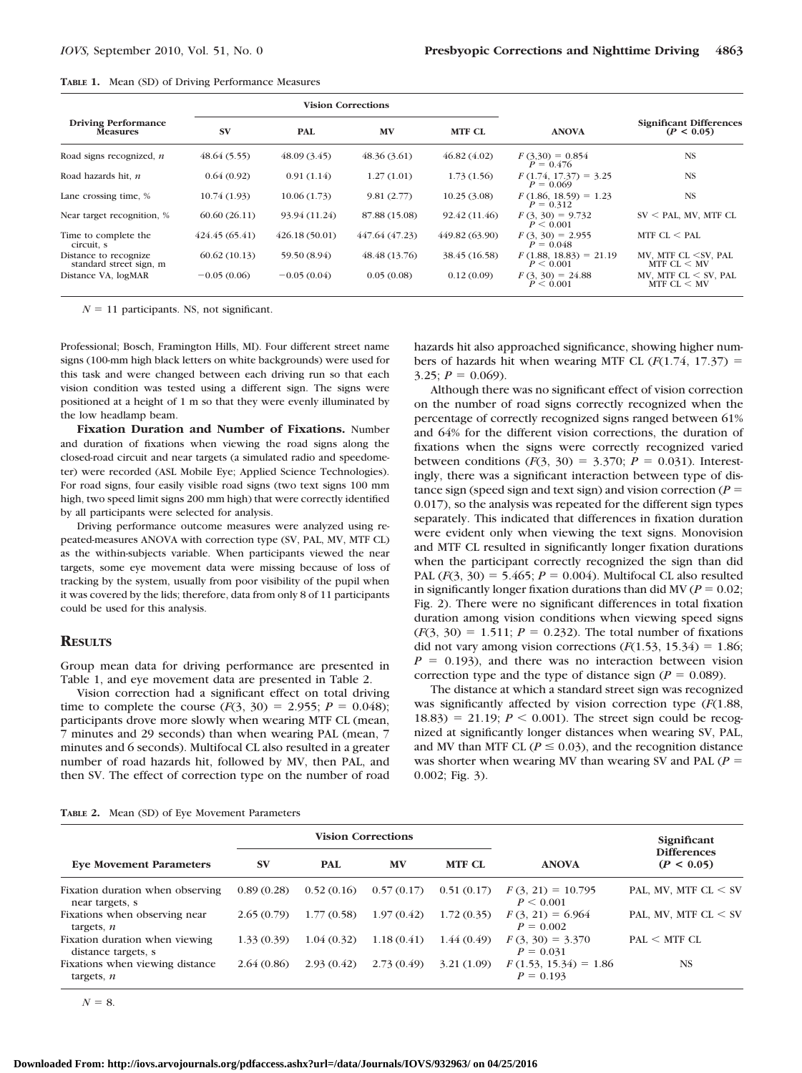|  |  |  | <b>TABLE 1.</b> Mean (SD) of Driving Performance Measures |  |
|--|--|--|-----------------------------------------------------------|--|
|--|--|--|-----------------------------------------------------------|--|

|                                                  | <b>Vision Corrections</b> |               |                |                |                                        |                                                             |
|--------------------------------------------------|---------------------------|---------------|----------------|----------------|----------------------------------------|-------------------------------------------------------------|
| <b>Driving Performance</b><br><b>Measures</b>    | <b>SV</b>                 | PAL           | <b>MV</b>      | MTF CL         | <b>ANOVA</b>                           | <b>Significant Differences</b><br>(P < 0.05)                |
| Road signs recognized, $n$                       | 48.64(5.55)               | 48.09(3.45)   | 48.36(3.61)    | 46.82(4.02)    | $F(3,30) = 0.854$<br>$P = 0.476$       | <b>NS</b>                                                   |
| Road hazards hit, n                              | 0.64(0.92)                | 0.91(1.14)    | 1.27(1.01)     | 1.73(1.56)     | $F(1.74, 17.37) = 3.25$<br>$P = 0.069$ | <b>NS</b>                                                   |
| Lane crossing time, %                            | 10.74(1.93)               | 10.06(1.73)   | 9.81(2.77)     | 10.25(3.08)    | $F(1.86, 18.59) = 1.23$<br>$P = 0.312$ | <b>NS</b>                                                   |
| Near target recognition, %                       | 60.60(26.11)              | 93.94 (11.24) | 87.88 (15.08)  | 92.42 (11.46)  | $F(3, 30) = 9.732$<br>P < 0.001        | $SV < PAL$ , MV, MTF CL                                     |
| Time to complete the<br>circuit, s               | 424.45(65.41)             | 426.18(50.01) | 447.64 (47.23) | 449.82 (63.90) | $F(3, 30) = 2.955$<br>$P = 0.048$      | MTF $CL < PAL$                                              |
| Distance to recognize<br>standard street sign, m | 60.62(10.13)              | 59.50 (8.94)  | 48.48 (13.76)  | 38.45 (16.58)  | $F(1.88, 18.83) = 21.19$<br>P < 0.001  | MV, MTF CL <sv, pal<br="">MTF <math>CL &lt; MV</math></sv,> |
| Distance VA, logMAR                              | $-0.05(0.06)$             | $-0.05(0.04)$ | 0.05(0.08)     | 0.12(0.09)     | $F(3, 30) = 24.88$<br>$P \leq 0.001$   | MV. MTF $CL < SV$ . PAL<br>MTF $CL < MV$                    |

 $N = 11$  participants. NS, not significant.

Professional; Bosch, Framington Hills, MI). Four different street name signs (100-mm high black letters on white backgrounds) were used for this task and were changed between each driving run so that each vision condition was tested using a different sign. The signs were positioned at a height of 1 m so that they were evenly illuminated by the low headlamp beam.

**Fixation Duration and Number of Fixations.** Number and duration of fixations when viewing the road signs along the closed-road circuit and near targets (a simulated radio and speedometer) were recorded (ASL Mobile Eye; Applied Science Technologies). For road signs, four easily visible road signs (two text signs 100 mm high, two speed limit signs 200 mm high) that were correctly identified by all participants were selected for analysis.

Driving performance outcome measures were analyzed using repeated-measures ANOVA with correction type (SV, PAL, MV, MTF CL) as the within-subjects variable. When participants viewed the near targets, some eye movement data were missing because of loss of tracking by the system, usually from poor visibility of the pupil when it was covered by the lids; therefore, data from only 8 of 11 participants could be used for this analysis.

## **RESULTS**

Group mean data for driving performance are presented in Table 1, and eye movement data are presented in Table 2.

Vision correction had a significant effect on total driving time to complete the course  $(F(3, 30) = 2.955; P = 0.048)$ ; participants drove more slowly when wearing MTF CL (mean, 7 minutes and 29 seconds) than when wearing PAL (mean, 7 minutes and 6 seconds). Multifocal CL also resulted in a greater number of road hazards hit, followed by MV, then PAL, and then SV. The effect of correction type on the number of road hazards hit also approached significance, showing higher numbers of hazards hit when wearing MTF CL  $(F(1.74, 17.37))$  =  $3.25; P = 0.069$ .

Although there was no significant effect of vision correction on the number of road signs correctly recognized when the percentage of correctly recognized signs ranged between 61% and 64% for the different vision corrections, the duration of fixations when the signs were correctly recognized varied between conditions  $(F(3, 30) = 3.370; P = 0.031)$ . Interestingly, there was a significant interaction between type of distance sign (speed sign and text sign) and vision correction ( $P =$ 0.017), so the analysis was repeated for the different sign types separately. This indicated that differences in fixation duration were evident only when viewing the text signs. Monovision and MTF CL resulted in significantly longer fixation durations when the participant correctly recognized the sign than did PAL  $(F(3, 30) = 5.465; P = 0.004)$ . Multifocal CL also resulted in significantly longer fixation durations than did MV ( $P = 0.02$ ; Fig. 2). There were no significant differences in total fixation duration among vision conditions when viewing speed signs  $(F(3, 30) = 1.511; P = 0.232)$ . The total number of fixations did not vary among vision corrections  $(F(1.53, 15.34) = 1.86;$  $P = 0.193$ ), and there was no interaction between vision correction type and the type of distance sign ( $P = 0.089$ ).

The distance at which a standard street sign was recognized was significantly affected by vision correction type (*F*(1.88,  $18.83$ ) = 21.19;  $P < 0.001$ ). The street sign could be recognized at significantly longer distances when wearing SV, PAL, and MV than MTF CL ( $P \le 0.03$ ), and the recognition distance was shorter when wearing MV than wearing SV and PAL (*P* 0.002; Fig. 3).

**TABLE 2.** Mean (SD) of Eye Movement Parameters

|                                                       | <b>Vision Corrections</b> |            |            |               | Significant                            |                                  |
|-------------------------------------------------------|---------------------------|------------|------------|---------------|----------------------------------------|----------------------------------|
| <b>Eye Movement Parameters</b>                        | <b>SV</b>                 | <b>PAL</b> | MV         | <b>MTF CL</b> | <b>ANOVA</b>                           | <b>Differences</b><br>(P < 0.05) |
| Fixation duration when observing<br>near targets, s   | 0.89(0.28)                | 0.52(0.16) | 0.57(0.17) | 0.51(0.17)    | $F(3, 21) = 10.795$<br>P < 0.001       | PAL, MV, MTF $CL < SV$           |
| Fixations when observing near<br>targets, $n$         | 2.65(0.79)                | 1.77(0.58) | 1.97(0.42) | 1.72(0.35)    | $F(3, 21) = 6.964$<br>$P = 0.002$      | PAL, MV, MTF $CL < SV$           |
| Fixation duration when viewing<br>distance targets, s | 1.33(0.39)                | 1.04(0.32) | 1.18(0.41) | 1.44(0.49)    | $F(3, 30) = 3.370$<br>$P = 0.031$      | PAL < MTF CL                     |
| Fixations when viewing distance<br>targets, $n$       | 2.64(0.86)                | 2.93(0.42) | 2.73(0.49) | 3.21(1.09)    | $F(1.53, 15.34) = 1.86$<br>$P = 0.193$ | <b>NS</b>                        |

 $N = 8$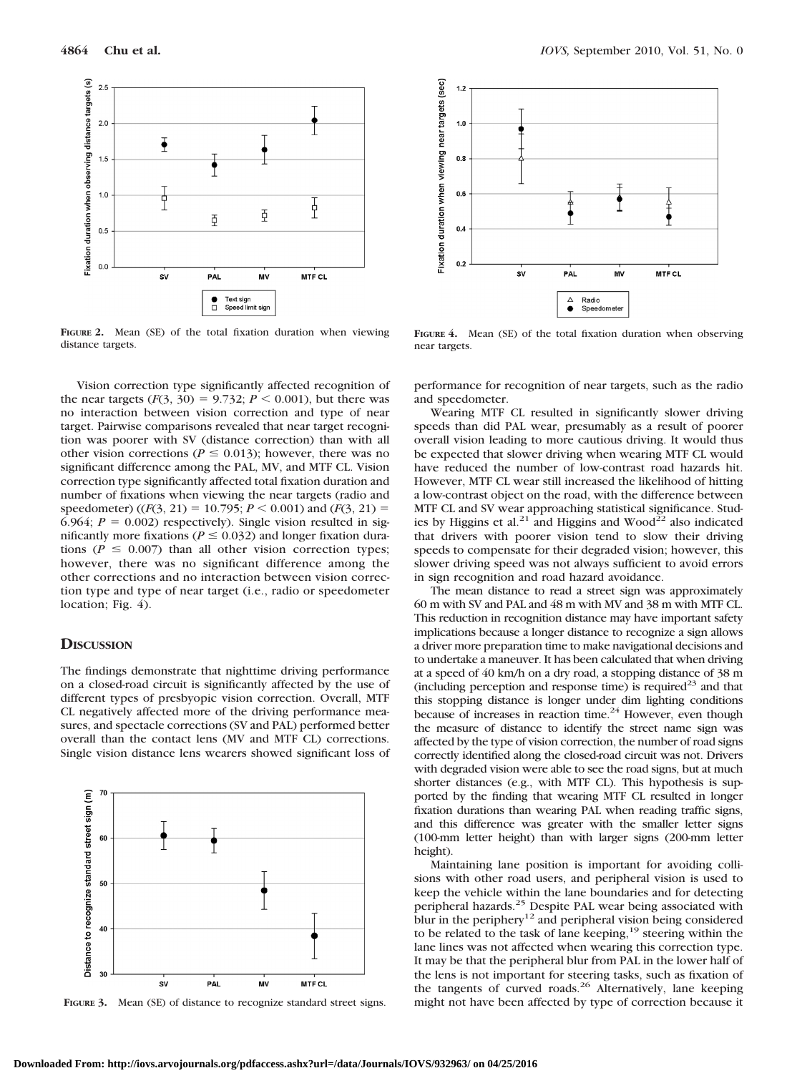

**FIGURE 2.** Mean (SE) of the total fixation duration when viewing distance targets.

Vision correction type significantly affected recognition of the near targets ( $F(3, 30) = 9.732$ ;  $P \le 0.001$ ), but there was no interaction between vision correction and type of near target. Pairwise comparisons revealed that near target recognition was poorer with SV (distance correction) than with all other vision corrections ( $P \le 0.013$ ); however, there was no significant difference among the PAL, MV, and MTF CL. Vision correction type significantly affected total fixation duration and number of fixations when viewing the near targets (radio and speedometer) ( $(F(3, 21) = 10.795; P \le 0.001$ ) and  $(F(3, 21) =$ 6.964;  $P = 0.002$ ) respectively). Single vision resulted in significantly more fixations ( $P \le 0.032$ ) and longer fixation durations ( $P \le 0.007$ ) than all other vision correction types; however, there was no significant difference among the other corrections and no interaction between vision correction type and type of near target (i.e., radio or speedometer location; Fig. 4).

## **DISCUSSION**

The findings demonstrate that nighttime driving performance on a closed-road circuit is significantly affected by the use of different types of presbyopic vision correction. Overall, MTF CL negatively affected more of the driving performance measures, and spectacle corrections (SV and PAL) performed better overall than the contact lens (MV and MTF CL) corrections. Single vision distance lens wearers showed significant loss of



**FIGURE 3.** Mean (SE) of distance to recognize standard street signs.



**FIGURE 4.** Mean (SE) of the total fixation duration when observing near targets.

performance for recognition of near targets, such as the radio and speedometer.

Wearing MTF CL resulted in significantly slower driving speeds than did PAL wear, presumably as a result of poorer overall vision leading to more cautious driving. It would thus be expected that slower driving when wearing MTF CL would have reduced the number of low-contrast road hazards hit. However, MTF CL wear still increased the likelihood of hitting a low-contrast object on the road, with the difference between MTF CL and SV wear approaching statistical significance. Studies by Higgins et al.<sup>21</sup> and Higgins and Wood<sup>22</sup> also indicated that drivers with poorer vision tend to slow their driving speeds to compensate for their degraded vision; however, this slower driving speed was not always sufficient to avoid errors in sign recognition and road hazard avoidance.

The mean distance to read a street sign was approximately 60 m with SV and PAL and 48 m with MV and 38 m with MTF CL. This reduction in recognition distance may have important safety implications because a longer distance to recognize a sign allows a driver more preparation time to make navigational decisions and to undertake a maneuver. It has been calculated that when driving at a speed of 40 km/h on a dry road, a stopping distance of 38 m (including perception and response time) is required<sup>23</sup> and that this stopping distance is longer under dim lighting conditions because of increases in reaction time. $24$  However, even though the measure of distance to identify the street name sign was affected by the type of vision correction, the number of road signs correctly identified along the closed-road circuit was not. Drivers with degraded vision were able to see the road signs, but at much shorter distances (e.g., with MTF CL). This hypothesis is supported by the finding that wearing MTF CL resulted in longer fixation durations than wearing PAL when reading traffic signs, and this difference was greater with the smaller letter signs (100-mm letter height) than with larger signs (200-mm letter height).

Maintaining lane position is important for avoiding collisions with other road users, and peripheral vision is used to keep the vehicle within the lane boundaries and for detecting peripheral hazards.25 Despite PAL wear being associated with blur in the periphery<sup>12</sup> and peripheral vision being considered to be related to the task of lane keeping,  $19$  steering within the lane lines was not affected when wearing this correction type. It may be that the peripheral blur from PAL in the lower half of the lens is not important for steering tasks, such as fixation of the tangents of curved roads.<sup>26</sup> Alternatively, lane keeping might not have been affected by type of correction because it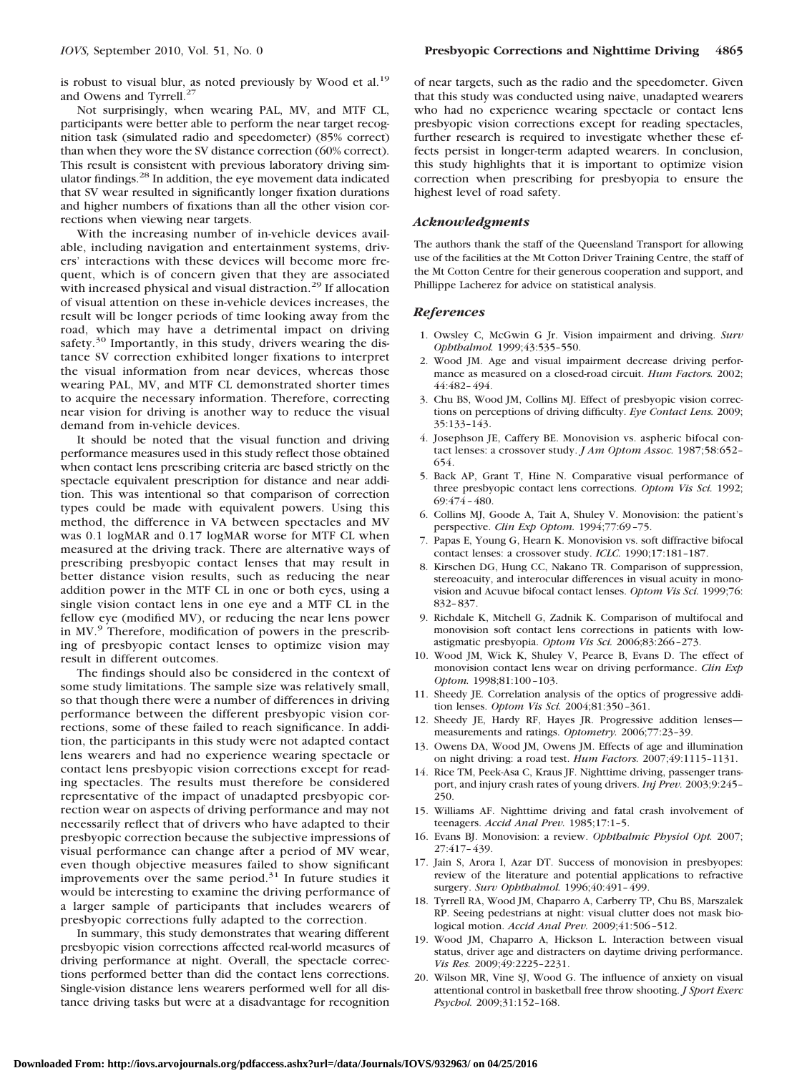is robust to visual blur, as noted previously by Wood et al.<sup>19</sup> and Owens and Tyrrell.<sup>27</sup>

Not surprisingly, when wearing PAL, MV, and MTF CL, participants were better able to perform the near target recognition task (simulated radio and speedometer) (85% correct) than when they wore the SV distance correction (60% correct). This result is consistent with previous laboratory driving simulator findings.28 In addition, the eye movement data indicated that SV wear resulted in significantly longer fixation durations and higher numbers of fixations than all the other vision corrections when viewing near targets.

With the increasing number of in-vehicle devices available, including navigation and entertainment systems, drivers' interactions with these devices will become more frequent, which is of concern given that they are associated with increased physical and visual distraction.<sup>29</sup> If allocation of visual attention on these in-vehicle devices increases, the result will be longer periods of time looking away from the road, which may have a detrimental impact on driving safety. $30$  Importantly, in this study, drivers wearing the distance SV correction exhibited longer fixations to interpret the visual information from near devices, whereas those wearing PAL, MV, and MTF CL demonstrated shorter times to acquire the necessary information. Therefore, correcting near vision for driving is another way to reduce the visual demand from in-vehicle devices.

It should be noted that the visual function and driving performance measures used in this study reflect those obtained when contact lens prescribing criteria are based strictly on the spectacle equivalent prescription for distance and near addition. This was intentional so that comparison of correction types could be made with equivalent powers. Using this method, the difference in VA between spectacles and MV was 0.1 logMAR and 0.17 logMAR worse for MTF CL when measured at the driving track. There are alternative ways of prescribing presbyopic contact lenses that may result in better distance vision results, such as reducing the near addition power in the MTF CL in one or both eyes, using a single vision contact lens in one eye and a MTF CL in the fellow eye (modified MV), or reducing the near lens power in MV.<sup>9</sup> Therefore, modification of powers in the prescribing of presbyopic contact lenses to optimize vision may result in different outcomes.

The findings should also be considered in the context of some study limitations. The sample size was relatively small, so that though there were a number of differences in driving performance between the different presbyopic vision corrections, some of these failed to reach significance. In addition, the participants in this study were not adapted contact lens wearers and had no experience wearing spectacle or contact lens presbyopic vision corrections except for reading spectacles. The results must therefore be considered representative of the impact of unadapted presbyopic correction wear on aspects of driving performance and may not necessarily reflect that of drivers who have adapted to their presbyopic correction because the subjective impressions of visual performance can change after a period of MV wear, even though objective measures failed to show significant improvements over the same period.<sup>31</sup> In future studies it would be interesting to examine the driving performance of a larger sample of participants that includes wearers of presbyopic corrections fully adapted to the correction.

In summary, this study demonstrates that wearing different presbyopic vision corrections affected real-world measures of driving performance at night. Overall, the spectacle corrections performed better than did the contact lens corrections. Single-vision distance lens wearers performed well for all distance driving tasks but were at a disadvantage for recognition

of near targets, such as the radio and the speedometer. Given that this study was conducted using naive, unadapted wearers who had no experience wearing spectacle or contact lens presbyopic vision corrections except for reading spectacles, further research is required to investigate whether these effects persist in longer-term adapted wearers. In conclusion, this study highlights that it is important to optimize vision correction when prescribing for presbyopia to ensure the highest level of road safety.

### *Acknowledgments*

The authors thank the staff of the Queensland Transport for allowing use of the facilities at the Mt Cotton Driver Training Centre, the staff of the Mt Cotton Centre for their generous cooperation and support, and Phillippe Lacherez for advice on statistical analysis.

#### *References*

- 1. Owsley C, McGwin G Jr. Vision impairment and driving. *Surv Ophthalmol.* 1999;43:535–550.
- 2. Wood JM. Age and visual impairment decrease driving performance as measured on a closed-road circuit. *Hum Factors.* 2002; 44:482–494.
- 3. Chu BS, Wood JM, Collins MJ. Effect of presbyopic vision corrections on perceptions of driving difficulty. *Eye Contact Lens.* 2009; 35:133–143.
- 4. Josephson JE, Caffery BE. Monovision vs. aspheric bifocal contact lenses: a crossover study. *J Am Optom Assoc.* 1987;58:652– 654.
- 5. Back AP, Grant T, Hine N. Comparative visual performance of three presbyopic contact lens corrections. *Optom Vis Sci.* 1992; 69:474–480.
- 6. Collins MJ, Goode A, Tait A, Shuley V. Monovision: the patient's perspective. *Clin Exp Optom.* 1994;77:69–75.
- 7. Papas E, Young G, Hearn K. Monovision vs. soft diffractive bifocal contact lenses: a crossover study. *ICLC.* 1990;17:181–187.
- 8. Kirschen DG, Hung CC, Nakano TR. Comparison of suppression, stereoacuity, and interocular differences in visual acuity in monovision and Acuvue bifocal contact lenses. *Optom Vis Sci.* 1999;76: 832–837.
- 9. Richdale K, Mitchell G, Zadnik K. Comparison of multifocal and monovision soft contact lens corrections in patients with lowastigmatic presbyopia. *Optom Vis Sci.* 2006;83:266–273.
- 10. Wood JM, Wick K, Shuley V, Pearce B, Evans D. The effect of monovision contact lens wear on driving performance. *Clin Exp Optom.* 1998;81:100–103.
- 11. Sheedy JE. Correlation analysis of the optics of progressive addition lenses. *Optom Vis Sci.* 2004;81:350–361.
- 12. Sheedy JE, Hardy RF, Hayes JR. Progressive addition lenses measurements and ratings. *Optometry.* 2006;77:23–39.
- 13. Owens DA, Wood JM, Owens JM. Effects of age and illumination on night driving: a road test. *Hum Factors.* 2007;49:1115–1131.
- 14. Rice TM, Peek-Asa C, Kraus JF. Nighttime driving, passenger transport, and injury crash rates of young drivers. *Inj Prev.* 2003;9:245– 250.
- 15. Williams AF. Nighttime driving and fatal crash involvement of teenagers. *Accid Anal Prev.* 1985;17:1–5.
- 16. Evans BJ. Monovision: a review. *Ophthalmic Physiol Opt.* 2007; 27:417–439.
- 17. Jain S, Arora I, Azar DT. Success of monovision in presbyopes: review of the literature and potential applications to refractive surgery. *Surv Ophthalmol.* 1996;40:491–499.
- 18. Tyrrell RA, Wood JM, Chaparro A, Carberry TP, Chu BS, Marszalek RP. Seeing pedestrians at night: visual clutter does not mask biological motion. *Accid Anal Prev.* 2009;41:506–512.
- 19. Wood JM, Chaparro A, Hickson L. Interaction between visual status, driver age and distracters on daytime driving performance. *Vis Res.* 2009;49:2225–2231.
- 20. Wilson MR, Vine SJ, Wood G. The influence of anxiety on visual attentional control in basketball free throw shooting. *J Sport Exerc Psychol.* 2009;31:152–168.